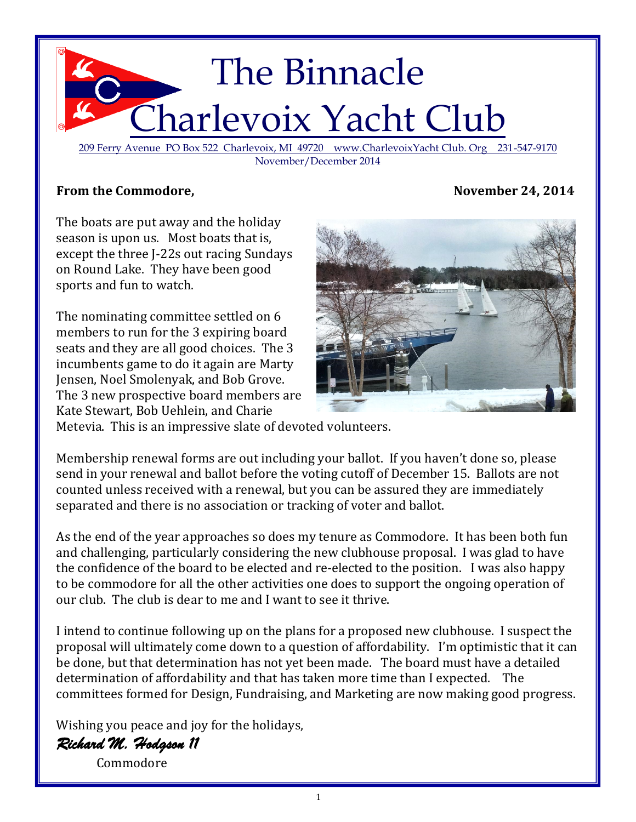

209 Ferry Avenue PO Box 522 Charlevoix, MI 49720 www.CharlevoixYacht Club. Org 231-547-9170 November/December 2014

## From the Commodore, November 24, 2014

The boats are put away and the holiday season is upon us. Most boats that is, except the three J-22s out racing Sundays on Round Lake. They have been good sports and fun to watch.

The nominating committee settled on 6 members to run for the 3 expiring board seats and they are all good choices. The 3 incumbents game to do it again are Marty Jensen, Noel Smolenyak, and Bob Grove. The 3 new prospective board members are Kate Stewart, Bob Uehlein, and Charie



Metevia. This is an impressive slate of devoted volunteers.

Membership renewal forms are out including your ballot. If you haven't done so, please send in your renewal and ballot before the voting cutoff of December 15. Ballots are not counted unless received with a renewal, but you can be assured they are immediately separated and there is no association or tracking of voter and ballot.

As the end of the year approaches so does my tenure as Commodore. It has been both fun and challenging, particularly considering the new clubhouse proposal. I was glad to have the confidence of the board to be elected and re-elected to the position. I was also happy to be commodore for all the other activities one does to support the ongoing operation of our club. The club is dear to me and I want to see it thrive.

I intend to continue following up on the plans for a proposed new clubhouse. I suspect the proposal will ultimately come down to a question of affordability. I'm optimistic that it can be done, but that determination has not yet been made. The board must have a detailed determination of affordability and that has taken more time than I expected. The committees formed for Design, Fundraising, and Marketing are now making good progress.

Wishing you peace and joy for the holidays,

*Richard M. Hodgson 11* 

Commodore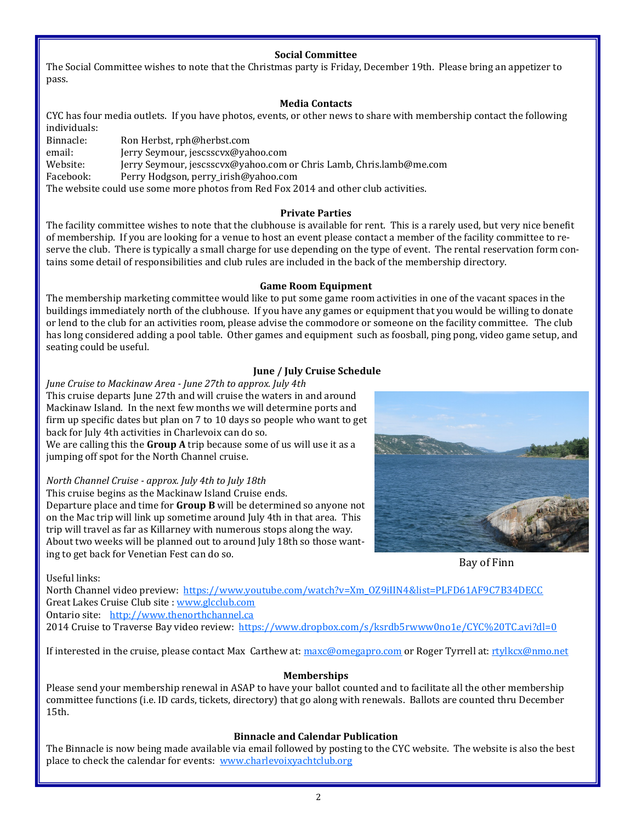## **Social Committee**

The Social Committee wishes to note that the Christmas party is Friday, December 19th. Please bring an appetizer to pass.

## **Media Contacts**

CYC has four media outlets. If you have photos, events, or other news to share with membership contact the following individuals:

Binnacle: Ron Herbst, rph@herbst.com email: Jerry Seymour, jescsscvx@yahoo.com Website: Jerry Seymour, jescsscvx@yahoo.com or Chris Lamb, Chris.lamb@me.com Facebook: Perry Hodgson, perry\_irish@yahoo.com The website could use some more photos from Red Fox 2014 and other club activities.

### **Private Parties**

The facility committee wishes to note that the clubhouse is available for rent. This is a rarely used, but very nice benefit of membership. If you are looking for a venue to host an event please contact a member of the facility committee to reserve the club. There is typically a small charge for use depending on the type of event. The rental reservation form contains some detail of responsibilities and club rules are included in the back of the membership directory.

### **Game Room Equipment**

The membership marketing committee would like to put some game room activities in one of the vacant spaces in the buildings immediately north of the clubhouse. If you have any games or equipment that you would be willing to donate or lend to the club for an activities room, please advise the commodore or someone on the facility committee. The club has long considered adding a pool table. Other games and equipment such as foosball, ping pong, video game setup, and seating could be useful.

## **June / July Cruise Schedule**

*June Cruise to Mackinaw Area - June 27th to approx. July 4th* This cruise departs June 27th and will cruise the waters in and around Mackinaw Island. In the next few months we will determine ports and firm up specific dates but plan on 7 to 10 days so people who want to get back for July 4th activities in Charlevoix can do so. We are calling this the **Group A** trip because some of us will use it as a jumping off spot for the North Channel cruise.

## *North Channel Cruise - approx. July 4th to July 18th*

This cruise begins as the Mackinaw Island Cruise ends. Departure place and time for **Group B** will be determined so anyone not on the Mac trip will link up sometime around July 4th in that area. This trip will travel as far as Killarney with numerous stops along the way. About two weeks will be planned out to around July 18th so those wanting to get back for Venetian Fest can do so.



Bay of Finn

Useful links:

North Channel video preview: [https://www.youtube.com/watch?v=Xm\\_OZ9iIIN4&list=PLFD61AF9C7B34DECC](https://www.youtube.com/watch?v=Xm_OZ9iIIN4&list=PLFD61AF9C7B34DECC) Great Lakes Cruise Club site : [www.glcclub.com](http://www.glcclub.com) Ontario site: <http://www.thenorthchannel.ca>

2014 Cruise to Traverse Bay video review: [https://www.dropbox.com/s/ksrdb5rwww0no1e/CYC%20TC.avi?dl=0](https://www.dropbox.com/s/ksrdb5rwww0no1e/CYC%20TC.avi?dl=0C:/Users/rpherbst/Documents/2%20Laurel%20Point,%20Huntington,%20WV%2025705%20to%20Arborview%20Dr,%20Traverse%20City,%20MI%2049685%20-%20Google%20Maps_files)

If interested in the cruise, please contact Max Carthew at: [maxc@omegapro.com](mailto:maxc@omegapro.com) or Roger Tyrrell at: [rtylkcx@nmo.net](mailto:rtylkcx@nmo.net)

## **Memberships**

Please send your membership renewal in ASAP to have your ballot counted and to facilitate all the other membership committee functions (i.e. ID cards, tickets, directory) that go along with renewals. Ballots are counted thru December 15th.

## **Binnacle and Calendar Publication**

The Binnacle is now being made available via email followed by posting to the CYC website. The website is also the best place to check the calendar for events: [www.charlevoixyachtclub.org](http://www.charlevoixyachtclub.org/)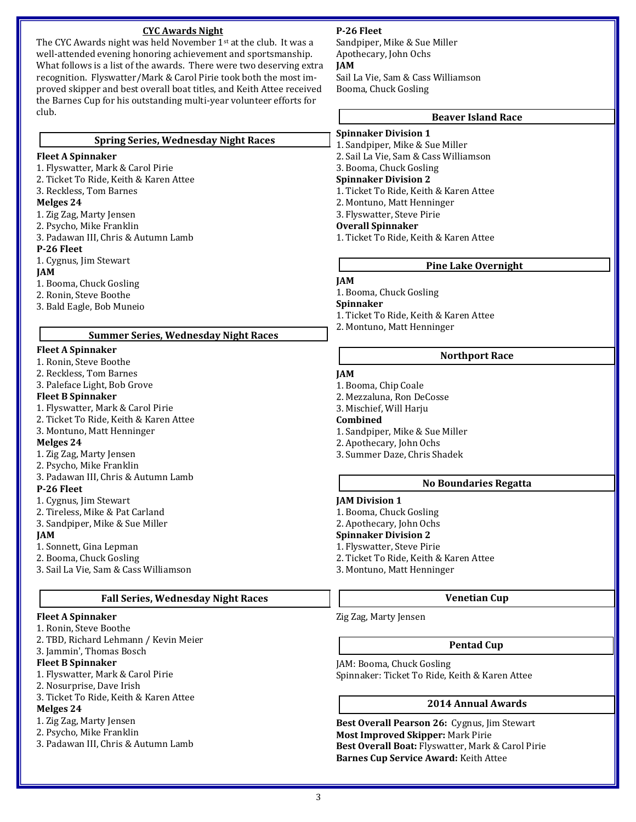## **CYC Awards Night**

The CYC Awards night was held November 1st at the club. It was a well-attended evening honoring achievement and sportsmanship. What follows is a list of the awards. There were two deserving extra recognition. Flyswatter/Mark & Carol Pirie took both the most improved skipper and best overall boat titles, and Keith Attee received the Barnes Cup for his outstanding multi-year volunteer efforts for club.

#### **Spring Series, Wednesday Night Races**

### **Fleet A Spinnaker**

1. Flyswatter, Mark & Carol Pirie 2. Ticket To Ride, Keith & Karen Attee

3. Reckless, Tom Barnes

### **Melges 24**

- 1. Zig Zag, Marty Jensen
- 2. Psycho, Mike Franklin
- 3. Padawan III, Chris & Autumn Lamb

#### **P-26 Fleet**

1. Cygnus, Jim Stewart

### **JAM**

- 1. Booma, Chuck Gosling
- 2. Ronin, Steve Boothe
- 3. Bald Eagle, Bob Muneio

### **Summer Series, Wednesday Night Races**

### **Fleet A Spinnaker**

- 1. Ronin, Steve Boothe
- 2. Reckless, Tom Barnes 3. Paleface Light, Bob Grove

## **Fleet B Spinnaker**

- 1. Flyswatter, Mark & Carol Pirie
- 2. Ticket To Ride, Keith & Karen Attee
- 3. Montuno, Matt Henninger

## **Melges 24**

- 1. Zig Zag, Marty Jensen
- 2. Psycho, Mike Franklin
- 3. Padawan III, Chris & Autumn Lamb

#### **P-26 Fleet**

- 1. Cygnus, Jim Stewart
- 2. Tireless, Mike & Pat Carland
- 3. Sandpiper, Mike & Sue Miller

#### **JAM**

- 1. Sonnett, Gina Lepman
- 2. Booma, Chuck Gosling
- 3. Sail La Vie, Sam & Cass Williamson

## **Fall Series, Wednesday Night Races**

## **Fleet A Spinnaker**

- 1. Ronin, Steve Boothe
- 2. TBD, Richard Lehmann / Kevin Meier

## 3. Jammin', Thomas Bosch

- **Fleet B Spinnaker**
- 1. Flyswatter, Mark & Carol Pirie
- 2. Nosurprise, Dave Irish
- 3. Ticket To Ride, Keith & Karen Attee

## **Melges 24**

- 1. Zig Zag, Marty Jensen
- 2. Psycho, Mike Franklin
- 3. Padawan III, Chris & Autumn Lamb

## **P-26 Fleet**

Sandpiper, Mike & Sue Miller Apothecary, John Ochs **JAM** Sail La Vie, Sam & Cass Williamson

# **Beaver Island Race**

**Spinnaker Division 1**

Booma, Chuck Gosling

- 1. Sandpiper, Mike & Sue Miller
	- 2. Sail La Vie, Sam & Cass Williamson
	- 3. Booma, Chuck Gosling

### **Spinnaker Division 2**

- 1. Ticket To Ride, Keith & Karen Attee
- 2. Montuno, Matt Henninger
- 3. Flyswatter, Steve Pirie

## **Overall Spinnaker**

1. Ticket To Ride, Keith & Karen Attee

## **Pine Lake Overnight**

## **JAM**

1. Booma, Chuck Gosling

**Spinnaker**

- 1. Ticket To Ride, Keith & Karen Attee
- 2. Montuno, Matt Henninger

## **Northport Race**

## **JAM**

- 1. Booma, Chip Coale
- 2. Mezzaluna, Ron DeCosse 3. Mischief, Will Harju
- **Combined**
- 
- 1. Sandpiper, Mike & Sue Miller
- 2. Apothecary, John Ochs
- 3. Summer Daze, Chris Shadek

## **No Boundaries Regatta**

#### **JAM Division 1**

- 1. Booma, Chuck Gosling
- 2. Apothecary, John Ochs

## **Spinnaker Division 2**

- 1. Flyswatter, Steve Pirie
- 2. Ticket To Ride, Keith & Karen Attee
- 3. Montuno, Matt Henninger

## **Venetian Cup**

Zig Zag, Marty Jensen

## **Pentad Cup**

JAM: Booma, Chuck Gosling Spinnaker: Ticket To Ride, Keith & Karen Attee

## **2014 Annual Awards**

**Best Overall Pearson 26:** Cygnus, Jim Stewart **Most Improved Skipper:** Mark Pirie **Best Overall Boat:** Flyswatter, Mark & Carol Pirie **Barnes Cup Service Award:** Keith Attee